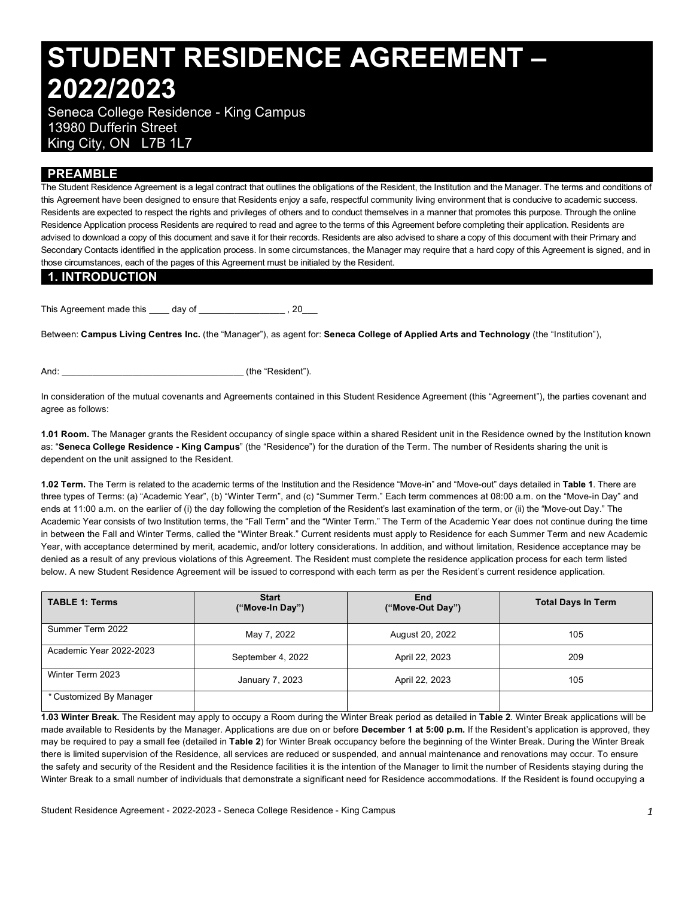# **STUDENT RESIDENCE AGREEMENT – 2022/2023**

 Seneca College Residence - King Campus King City, ON L7B 1L7 13980 Dufferin Street

## **PREAMBLE**

 The Student Residence Agreement is a legal contract that outlines the obligations of the Resident, the Institution and the Manager. The terms and conditions of this Agreement have been designed to ensure that Residents enjoy a safe, respectful community living environment that is conducive to academic success. Residents are expected to respect the rights and privileges of others and to conduct themselves in a manner that promotes this purpose. Through the online Residence Application process Residents are required to read and agree to the terms of this Agreement before completing their application. Residents are advised to download a copy of this document and save it for their records. Residents are also advised to share a copy of this document with their Primary and Secondary Contacts identified in the application process. In some circumstances, the Manager may require that a hard copy of this Agreement is signed, and in those circumstances, each of the pages of this Agreement must be initialed by the Resident.

#### **1. INTRODUCTION**

This Agreement made this \_\_\_\_ day of \_\_\_\_\_\_\_\_\_\_\_\_\_\_\_\_\_ , 20\_\_\_

 Between: **Campus Living Centres Inc.** (the "Manager"), as agent for: **Seneca College of Applied Arts and Technology** (the "Institution"),

And:  $\qquad \qquad$  (the "Resident").

 In consideration of the mutual covenants and Agreements contained in this Student Residence Agreement (this "Agreement"), the parties covenant and agree as follows:

 **1.01 Room.** The Manager grants the Resident occupancy of single space within a shared Resident unit in the Residence owned by the Institution known  as: "**Seneca College Residence - King Campus**" (the "Residence") for the duration of the Term. The number of Residents sharing the unit is dependent on the unit assigned to the Resident.

 **1.02 Term.** The Term is related to the academic terms of the Institution and the Residence "Move-in" and "Move-out" days detailed in **Table 1**. There are three types of Terms: (a) "Academic Year", (b) "Winter Term", and (c) "Summer Term." Each term commences at 08:00 a.m. on the "Move-in Day" and ends at 11:00 a.m. on the earlier of (i) the day following the completion of the Resident's last examination of the term, or (ii) the "Move-out Day." The Academic Year consists of two Institution terms, the "Fall Term" and the "Winter Term." The Term of the Academic Year does not continue during the time in between the Fall and Winter Terms, called the "Winter Break." Current residents must apply to Residence for each Summer Term and new Academic Year, with acceptance determined by merit, academic, and/or lottery considerations. In addition, and without limitation, Residence acceptance may be denied as a result of any previous violations of this Agreement. The Resident must complete the residence application process for each term listed below. A new Student Residence Agreement will be issued to correspond with each term as per the Resident's current residence application.

| <b>TABLE 1: Terms</b>   | <b>Start</b><br>("Move-In Day") | End<br>("Move-Out Day") | <b>Total Days In Term</b> |  |
|-------------------------|---------------------------------|-------------------------|---------------------------|--|
| Summer Term 2022        | May 7, 2022                     | August 20, 2022         | 105                       |  |
| Academic Year 2022-2023 | September 4, 2022               | April 22, 2023          | 209                       |  |
| Winter Term 2023        | January 7, 2023                 | April 22, 2023          | 105                       |  |
| * Customized By Manager |                                 |                         |                           |  |

 **1.03 Winter Break.** The Resident may apply to occupy a Room during the Winter Break period as detailed in **Table 2**. Winter Break applications will be made available to Residents by the Manager. Applications are due on or before **December 1 at 5:00 p.m.** If the Resident's application is approved, they may be required to pay a small fee (detailed in **Table 2**) for Winter Break occupancy before the beginning of the Winter Break. During the Winter Break there is limited supervision of the Residence, all services are reduced or suspended, and annual maintenance and renovations may occur. To ensure the safety and security of the Resident and the Residence facilities it is the intention of the Manager to limit the number of Residents staying during the Winter Break to a small number of individuals that demonstrate a significant need for Residence accommodations. If the Resident is found occupying a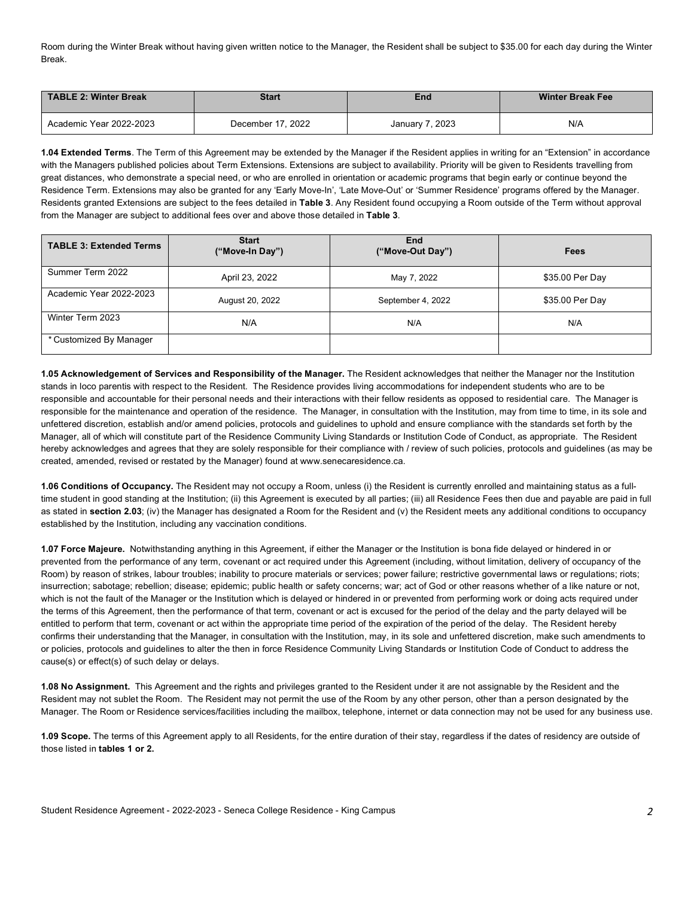Room during the Winter Break without having given written notice to the Manager, the Resident shall be subject to \$35.00 for each day during the Winter Break.

| TABLE 2: Winter Break   | <b>Start</b>      | End             | <b>Winter Break Fee</b> |  |
|-------------------------|-------------------|-----------------|-------------------------|--|
| Academic Year 2022-2023 | December 17, 2022 | January 7, 2023 | N/A                     |  |

 **1.04 Extended Terms**. The Term of this Agreement may be extended by the Manager if the Resident applies in writing for an "Extension" in accordance with the Managers published policies about Term Extensions. Extensions are subject to availability. Priority will be given to Residents travelling from great distances, who demonstrate a special need, or who are enrolled in orientation or academic programs that begin early or continue beyond the Residence Term. Extensions may also be granted for any 'Early Move-In', 'Late Move-Out' or 'Summer Residence' programs offered by the Manager. Residents granted Extensions are subject to the fees detailed in **Table 3**. Any Resident found occupying a Room outside of the Term without approval from the Manager are subject to additional fees over and above those detailed in **Table 3**.

| <b>TABLE 3: Extended Terms</b> | <b>Start</b><br>("Move-In Day") | End<br>("Move-Out Day") | <b>Fees</b>     |
|--------------------------------|---------------------------------|-------------------------|-----------------|
| Summer Term 2022               | April 23, 2022                  | May 7, 2022             | \$35.00 Per Day |
| Academic Year 2022-2023        | August 20, 2022                 | September 4, 2022       | \$35.00 Per Day |
| Winter Term 2023               | N/A                             | N/A                     | N/A             |
| * Customized By Manager        |                                 |                         |                 |

 **1.05 Acknowledgement of Services and Responsibility of the Manager.** The Resident acknowledges that neither the Manager nor the Institution stands in loco parentis with respect to the Resident. The Residence provides living accommodations for independent students who are to be responsible and accountable for their personal needs and their interactions with their fellow residents as opposed to residential care. The Manager is responsible for the maintenance and operation of the residence. The Manager, in consultation with the Institution, may from time to time, in its sole and unfettered discretion, establish and/or amend policies, protocols and guidelines to uphold and ensure compliance with the standards set forth by the Manager, all of which will constitute part of the Residence Community Living Standards or Institution Code of Conduct, as appropriate. The Resident hereby acknowledges and agrees that they are solely responsible for their compliance with / review of such policies, protocols and guidelines (as may be created, amended, revised or restated by the Manager) found at [www.senecaresidence.ca.](www.senecaresidence.ca)

 **1.06 Conditions of Occupancy.** The Resident may not occupy a Room, unless (i) the Resident is currently enrolled and maintaining status as a full- time student in good standing at the Institution; (ii) this Agreement is executed by all parties; (iii) all Residence Fees then due and payable are paid in full as stated in **section 2.03**; (iv) the Manager has designated a Room for the Resident and (v) the Resident meets any additional conditions to occupancy established by the Institution, including any vaccination conditions.

 **1.07 Force Majeure.** Notwithstanding anything in this Agreement, if either the Manager or the Institution is bona fide delayed or hindered in or prevented from the performance of any term, covenant or act required under this Agreement (including, without limitation, delivery of occupancy of the Room) by reason of strikes, labour troubles; inability to procure materials or services; power failure; restrictive governmental laws or regulations; riots; insurrection; sabotage; rebellion; disease; epidemic; public health or safety concerns; war; act of God or other reasons whether of a like nature or not, which is not the fault of the Manager or the Institution which is delayed or hindered in or prevented from performing work or doing acts required under the terms of this Agreement, then the performance of that term, covenant or act is excused for the period of the delay and the party delayed will be entitled to perform that term, covenant or act within the appropriate time period of the expiration of the period of the delay. The Resident hereby confirms their understanding that the Manager, in consultation with the Institution, may, in its sole and unfettered discretion, make such amendments to or policies, protocols and guidelines to alter the then in force Residence Community Living Standards or Institution Code of Conduct to address the cause(s) or effect(s) of such delay or delays.

 **1.08 No Assignment.** This Agreement and the rights and privileges granted to the Resident under it are not assignable by the Resident and the Resident may not sublet the Room. The Resident may not permit the use of the Room by any other person, other than a person designated by the Manager. The Room or Residence services/facilities including the mailbox, telephone, internet or data connection may not be used for any business use.

 **1.09 Scope.** The terms of this Agreement apply to all Residents, for the entire duration of their stay, regardless if the dates of residency are outside of  those listed in **tables 1 or 2.**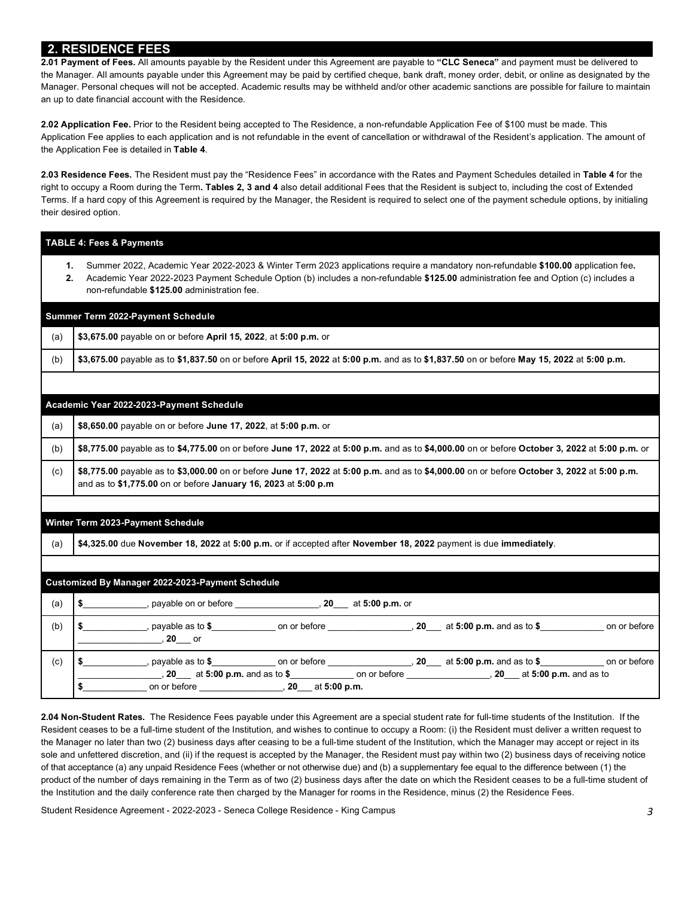# **2. RESIDENCE FEES**

 the Manager. All amounts payable under this Agreement may be paid by certified cheque, bank draft, money order, debit, or online as designated by the Manager. Personal cheques will not be accepted. Academic results may be withheld and/or other academic sanctions are possible for failure to maintain an up to date financial account with the Residence. **2.01 Payment of Fees.** All amounts payable by the Resident under this Agreement are payable to **"CLC Seneca"** and payment must be delivered to

 **2.02 Application Fee.** Prior to the Resident being accepted to The Residence, a non-refundable Application Fee of \$100 must be made. This Application Fee applies to each application and is not refundable in the event of cancellation or withdrawal of the Resident's application. The amount of the Application Fee is detailed in **Table 4**.

 **2.03 Residence Fees.** The Resident must pay the "Residence Fees" in accordance with the Rates and Payment Schedules detailed in **Table 4** for the right to occupy a Room during the Term**. Tables 2, 3 and 4** also detail additional Fees that the Resident is subject to, including the cost of Extended Terms. If a hard copy of this Agreement is required by the Manager, the Resident is required to select one of the payment schedule options, by initialing their desired option.

|          | <b>TABLE 4: Fees &amp; Payments</b>                                                                                                                                                                                                                                                                                     |  |  |  |  |
|----------|-------------------------------------------------------------------------------------------------------------------------------------------------------------------------------------------------------------------------------------------------------------------------------------------------------------------------|--|--|--|--|
| 1.<br>2. | Summer 2022, Academic Year 2022-2023 & Winter Term 2023 applications require a mandatory non-refundable \$100.00 application fee.<br>Academic Year 2022-2023 Payment Schedule Option (b) includes a non-refundable \$125.00 administration fee and Option (c) includes a<br>non-refundable \$125.00 administration fee. |  |  |  |  |
|          | Summer Term 2022-Payment Schedule                                                                                                                                                                                                                                                                                       |  |  |  |  |
| (a)      | \$3,675.00 payable on or before April 15, 2022, at 5:00 p.m. or                                                                                                                                                                                                                                                         |  |  |  |  |
| (b)      | \$3,675.00 payable as to \$1,837.50 on or before April 15, 2022 at 5:00 p.m. and as to \$1,837.50 on or before May 15, 2022 at 5:00 p.m.                                                                                                                                                                                |  |  |  |  |
|          |                                                                                                                                                                                                                                                                                                                         |  |  |  |  |
|          | Academic Year 2022-2023-Payment Schedule                                                                                                                                                                                                                                                                                |  |  |  |  |
| (a)      | \$8,650.00 payable on or before June 17, 2022, at 5:00 p.m. or                                                                                                                                                                                                                                                          |  |  |  |  |
| (b)      | \$8,775.00 payable as to \$4,775.00 on or before June 17, 2022 at 5:00 p.m. and as to \$4,000.00 on or before October 3, 2022 at 5:00 p.m. or                                                                                                                                                                           |  |  |  |  |
| (c)      | \$8,775.00 payable as to \$3,000.00 on or before June 17, 2022 at 5:00 p.m. and as to \$4,000.00 on or before October 3, 2022 at 5:00 p.m.<br>and as to \$1,775.00 on or before January 16, 2023 at 5:00 p.m                                                                                                            |  |  |  |  |
|          | Winter Term 2023-Payment Schedule                                                                                                                                                                                                                                                                                       |  |  |  |  |
| (a)      | \$4,325.00 due November 18, 2022 at 5:00 p.m. or if accepted after November 18, 2022 payment is due immediately.                                                                                                                                                                                                        |  |  |  |  |
|          | <b>Customized By Manager 2022-2023-Payment Schedule</b>                                                                                                                                                                                                                                                                 |  |  |  |  |
| (a)      | \$ _______________, payable on or before _____________________, 20____ at 5:00 p.m. or                                                                                                                                                                                                                                  |  |  |  |  |
| (b)      | \$ ______________, payable as to \$_______________ on or before _________________, 20___ at 5:00 p.m. and as to \$______________ on or before                                                                                                                                                                           |  |  |  |  |
| (c)      | \$ ______________, payable as to \$________________ on or before ________________, 20___ at 5:00 p.m. and as to \$_____________ on or before<br>20 at 5:00 p.m. and as to \$ 00 p.m. and as to \$ 0.00 p.m. and as to \$ 0.00 p.m. and as to                                                                            |  |  |  |  |

 **2.04 Non-Student Rates.** The Residence Fees payable under this Agreement are a special student rate for full-time students of the Institution. If the Resident ceases to be a full-time student of the Institution, and wishes to continue to occupy a Room: (i) the Resident must deliver a written request to the Manager no later than two (2) business days after ceasing to be a full-time student of the Institution, which the Manager may accept or reject in its sole and unfettered discretion, and (ii) if the request is accepted by the Manager, the Resident must pay within two (2) business days of receiving notice of that acceptance (a) any unpaid Residence Fees (whether or not otherwise due) and (b) a supplementary fee equal to the difference between (1) the product of the number of days remaining in the Term as of two (2) business days after the date on which the Resident ceases to be a full-time student of the Institution and the daily conference rate then charged by the Manager for rooms in the Residence, minus (2) the Residence Fees.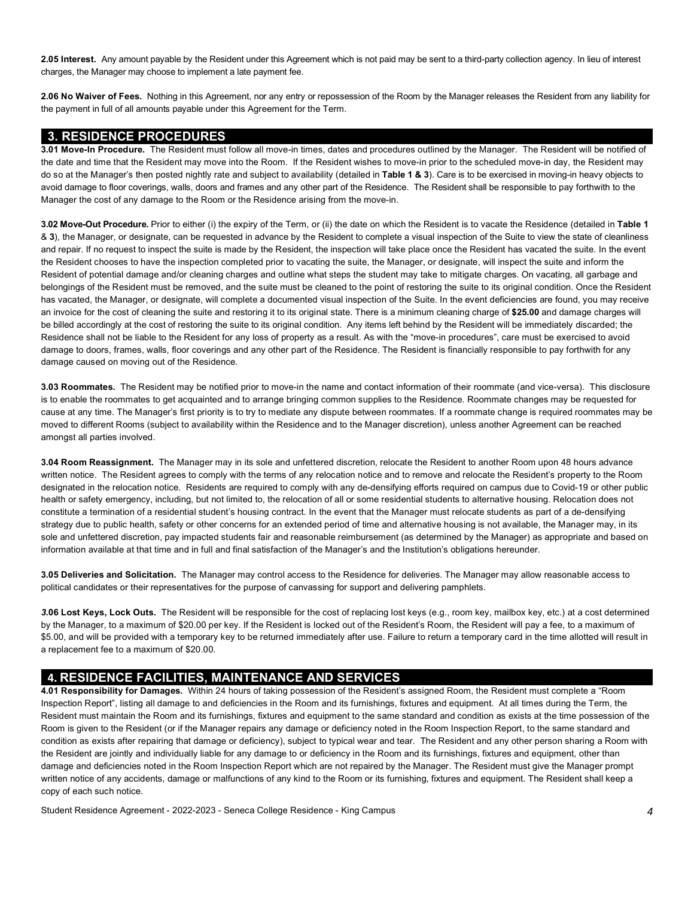**2.05 Interest.** Any amount payable by the Resident under this Agreement which is not paid may be sent to a third-party collection agency. In lieu of interest charges, the Manager may choose to implement a late payment fee.

 **2.06 No Waiver of Fees.** Nothing in this Agreement, nor any entry or repossession of the Room by the Manager releases the Resident from any liability for the payment in full of all amounts payable under this Agreement for the Term.

#### **3. RESIDENCE PROCEDURES**

 **3.01 Move-In Procedure.** The Resident must follow all move-in times, dates and procedures outlined by the Manager. The Resident will be notified of the date and time that the Resident may move into the Room. If the Resident wishes to move-in prior to the scheduled move-in day, the Resident may do so at the Manager's then posted nightly rate and subject to availability (detailed in **Table 1 & 3**). Care is to be exercised in moving-in heavy objects to avoid damage to floor coverings, walls, doors and frames and any other part of the Residence. The Resident shall be responsible to pay forthwith to the Manager the cost of any damage to the Room or the Residence arising from the move-in.

 **3.02 Move-Out Procedure.** Prior to either (i) the expiry of the Term, or (ii) the date on which the Resident is to vacate the Residence (detailed in **Table 1**  & **3**), the Manager, or designate, can be requested in advance by the Resident to complete a visual inspection of the Suite to view the state of cleanliness and repair. If no request to inspect the suite is made by the Resident, the inspection will take place once the Resident has vacated the suite. In the event the Resident chooses to have the inspection completed prior to vacating the suite, the Manager, or designate, will inspect the suite and inform the Resident of potential damage and/or cleaning charges and outline what steps the student may take to mitigate charges. On vacating, all garbage and belongings of the Resident must be removed, and the suite must be cleaned to the point of restoring the suite to its original condition. Once the Resident has vacated, the Manager, or designate, will complete a documented visual inspection of the Suite. In the event deficiencies are found, you may receive an invoice for the cost of cleaning the suite and restoring it to its original state. There is a minimum cleaning charge of **\$25.00** and damage charges will be billed accordingly at the cost of restoring the suite to its original condition. Any items left behind by the Resident will be immediately discarded; the Residence shall not be liable to the Resident for any loss of property as a result. As with the "move-in procedures", care must be exercised to avoid damage to doors, frames, walls, floor coverings and any other part of the Residence. The Resident is financially responsible to pay forthwith for any damage caused on moving out of the Residence.

 **3.03 Roommates.** The Resident may be notified prior to move-in the name and contact information of their roommate (and vice-versa). This disclosure is to enable the roommates to get acquainted and to arrange bringing common supplies to the Residence. Roommate changes may be requested for cause at any time. The Manager's first priority is to try to mediate any dispute between roommates. If a roommate change is required roommates may be moved to different Rooms (subject to availability within the Residence and to the Manager discretion), unless another Agreement can be reached amongst all parties involved.

 **3.04 Room Reassignment.** The Manager may in its sole and unfettered discretion, relocate the Resident to another Room upon 48 hours advance written notice. The Resident agrees to comply with the terms of any relocation notice and to remove and relocate the Resident's property to the Room designated in the relocation notice. Residents are required to comply with any de-densifying efforts required on campus due to Covid-19 or other public health or safety emergency, including, but not limited to, the relocation of all or some residential students to alternative housing. Relocation does not constitute a termination of a residential student's housing contract. In the event that the Manager must relocate students as part of a de-densifying strategy due to public health, safety or other concerns for an extended period of time and alternative housing is not available, the Manager may, in its sole and unfettered discretion, pay impacted students fair and reasonable reimbursement (as determined by the Manager) as appropriate and based on information available at that time and in full and final satisfaction of the Manager's and the Institution's obligations hereunder.

 **3.05 Deliveries and Solicitation.** The Manager may control access to the Residence for deliveries. The Manager may allow reasonable access to political candidates or their representatives for the purpose of canvassing for support and delivering pamphlets.

 *3.***06 Lost Keys, Lock Outs.** The Resident will be responsible for the cost of replacing lost keys (e.g., room key, mailbox key, etc.) at a cost determined by the Manager, to a maximum of \$20.00 per key. If the Resident is locked out of the Resident's Room, the Resident will pay a fee, to a maximum of \$5.00, and will be provided with a temporary key to be returned immediately after use. Failure to return a temporary card in the time allotted will result in a replacement fee to a maximum of \$20.00.

## **4. RESIDENCE FACILITIES, MAINTENANCE AND SERVICES**

 **4.01 Responsibility for Damages.** Within 24 hours of taking possession of the Resident's assigned Room, the Resident must complete a "Room Inspection Report", listing all damage to and deficiencies in the Room and its furnishings, fixtures and equipment. At all times during the Term, the Resident must maintain the Room and its furnishings, fixtures and equipment to the same standard and condition as exists at the time possession of the Room is given to the Resident (or if the Manager repairs any damage or deficiency noted in the Room Inspection Report, to the same standard and condition as exists after repairing that damage or deficiency), subject to typical wear and tear. The Resident and any other person sharing a Room with the Resident are jointly and individually liable for any damage to or deficiency in the Room and its furnishings, fixtures and equipment, other than damage and deficiencies noted in the Room Inspection Report which are not repaired by the Manager. The Resident must give the Manager prompt written notice of any accidents, damage or malfunctions of any kind to the Room or its furnishing, fixtures and equipment. The Resident shall keep a copy of each such notice.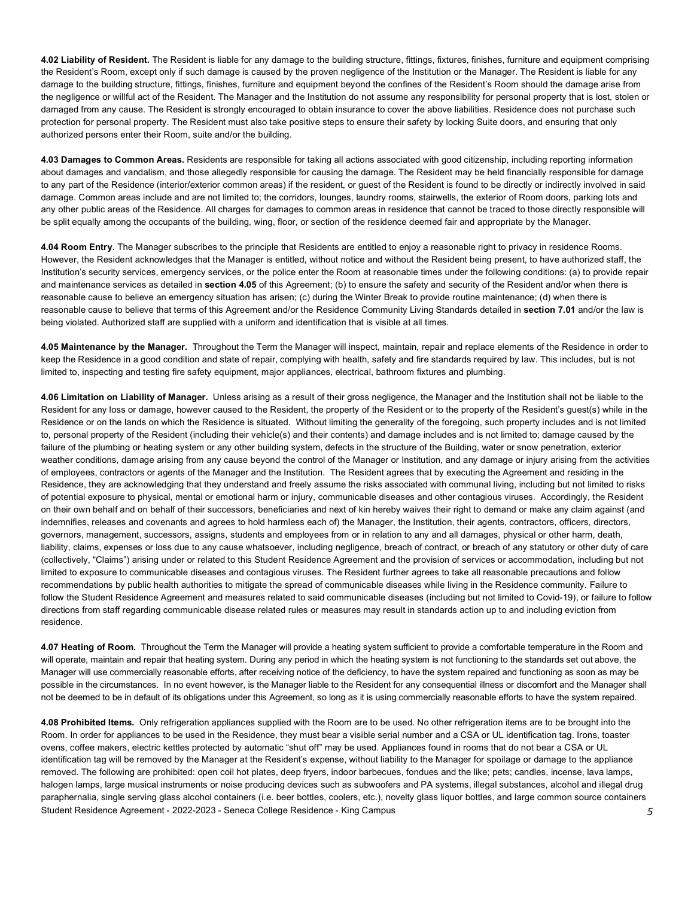**4.02 Liability of Resident.** The Resident is liable for any damage to the building structure, fittings, fixtures, finishes, furniture and equipment comprising the Resident's Room, except only if such damage is caused by the proven negligence of the Institution or the Manager. The Resident is liable for any damage to the building structure, fittings, finishes, furniture and equipment beyond the confines of the Resident's Room should the damage arise from the negligence or willful act of the Resident. The Manager and the Institution do not assume any responsibility for personal property that is lost, stolen or damaged from any cause. The Resident is strongly encouraged to obtain insurance to cover the above liabilities. Residence does not purchase such protection for personal property. The Resident must also take positive steps to ensure their safety by locking Suite doors, and ensuring that only authorized persons enter their Room, suite and/or the building.

 **4.03 Damages to Common Areas.** Residents are responsible for taking all actions associated with good citizenship, including reporting information about damages and vandalism, and those allegedly responsible for causing the damage. The Resident may be held financially responsible for damage to any part of the Residence (interior/exterior common areas) if the resident, or guest of the Resident is found to be directly or indirectly involved in said damage. Common areas include and are not limited to; the corridors, lounges, laundry rooms, stairwells, the exterior of Room doors, parking lots and any other public areas of the Residence. All charges for damages to common areas in residence that cannot be traced to those directly responsible will be split equally among the occupants of the building, wing, floor, or section of the residence deemed fair and appropriate by the Manager.

 **4.04 Room Entry.** The Manager subscribes to the principle that Residents are entitled to enjoy a reasonable right to privacy in residence Rooms. However, the Resident acknowledges that the Manager is entitled, without notice and without the Resident being present, to have authorized staff, the Institution's security services, emergency services, or the police enter the Room at reasonable times under the following conditions: (a) to provide repair and maintenance services as detailed in **section 4.05** of this Agreement; (b) to ensure the safety and security of the Resident and/or when there is reasonable cause to believe an emergency situation has arisen; (c) during the Winter Break to provide routine maintenance; (d) when there is reasonable cause to believe that terms of this Agreement and/or the Residence Community Living Standards detailed in **section 7.01** and/or the law is being violated. Authorized staff are supplied with a uniform and identification that is visible at all times.

 **4.05 Maintenance by the Manager.** Throughout the Term the Manager will inspect, maintain, repair and replace elements of the Residence in order to keep the Residence in a good condition and state of repair, complying with health, safety and fire standards required by law. This includes, but is not limited to, inspecting and testing fire safety equipment, major appliances, electrical, bathroom fixtures and plumbing.

 **4.06 Limitation on Liability of Manager.** Unless arising as a result of their gross negligence, the Manager and the Institution shall not be liable to the Resident for any loss or damage, however caused to the Resident, the property of the Resident or to the property of the Resident's guest(s) while in the Residence or on the lands on which the Residence is situated. Without limiting the generality of the foregoing, such property includes and is not limited to, personal property of the Resident (including their vehicle(s) and their contents) and damage includes and is not limited to; damage caused by the failure of the plumbing or heating system or any other building system, defects in the structure of the Building, water or snow penetration, exterior weather conditions, damage arising from any cause beyond the control of the Manager or Institution, and any damage or injury arising from the activities of employees, contractors or agents of the Manager and the Institution. The Resident agrees that by executing the Agreement and residing in the Residence, they are acknowledging that they understand and freely assume the risks associated with communal living, including but not limited to risks of potential exposure to physical, mental or emotional harm or injury, communicable diseases and other contagious viruses. Accordingly, the Resident on their own behalf and on behalf of their successors, beneficiaries and next of kin hereby waives their right to demand or make any claim against (and indemnifies, releases and covenants and agrees to hold harmless each of) the Manager, the Institution, their agents, contractors, officers, directors, governors, management, successors, assigns, students and employees from or in relation to any and all damages, physical or other harm, death, liability, claims, expenses or loss due to any cause whatsoever, including negligence, breach of contract, or breach of any statutory or other duty of care (collectively, "Claims") arising under or related to this Student Residence Agreement and the provision of services or accommodation, including but not limited to exposure to communicable diseases and contagious viruses. The Resident further agrees to take all reasonable precautions and follow recommendations by public health authorities to mitigate the spread of communicable diseases while living in the Residence community. Failure to follow the Student Residence Agreement and measures related to said communicable diseases (including but not limited to Covid-19), or failure to follow directions from staff regarding communicable disease related rules or measures may result in standards action up to and including eviction from residence.

 **4.07 Heating of Room.** Throughout the Term the Manager will provide a heating system sufficient to provide a comfortable temperature in the Room and will operate, maintain and repair that heating system. During any period in which the heating system is not functioning to the standards set out above, the Manager will use commercially reasonable efforts, after receiving notice of the deficiency, to have the system repaired and functioning as soon as may be possible in the circumstances. In no event however, is the Manager liable to the Resident for any consequential illness or discomfort and the Manager shall not be deemed to be in default of its obligations under this Agreement, so long as it is using commercially reasonable efforts to have the system repaired.

 Student Residence Agreement - 2022-2023 - Seneca College Residence - King Campus *5*  **4.08 Prohibited Items.** Only refrigeration appliances supplied with the Room are to be used. No other refrigeration items are to be brought into the Room. In order for appliances to be used in the Residence, they must bear a visible serial number and a CSA or UL identification tag. Irons, toaster ovens, coffee makers, electric kettles protected by automatic "shut off" may be used. Appliances found in rooms that do not bear a CSA or UL identification tag will be removed by the Manager at the Resident's expense, without liability to the Manager for spoilage or damage to the appliance removed. The following are prohibited: open coil hot plates, deep fryers, indoor barbecues, fondues and the like; pets; candles, incense, lava lamps, halogen lamps, large musical instruments or noise producing devices such as subwoofers and PA systems, illegal substances, alcohol and illegal drug paraphernalia, single serving glass alcohol containers (i.e. beer bottles, coolers, etc.), novelty glass liquor bottles, and large common source containers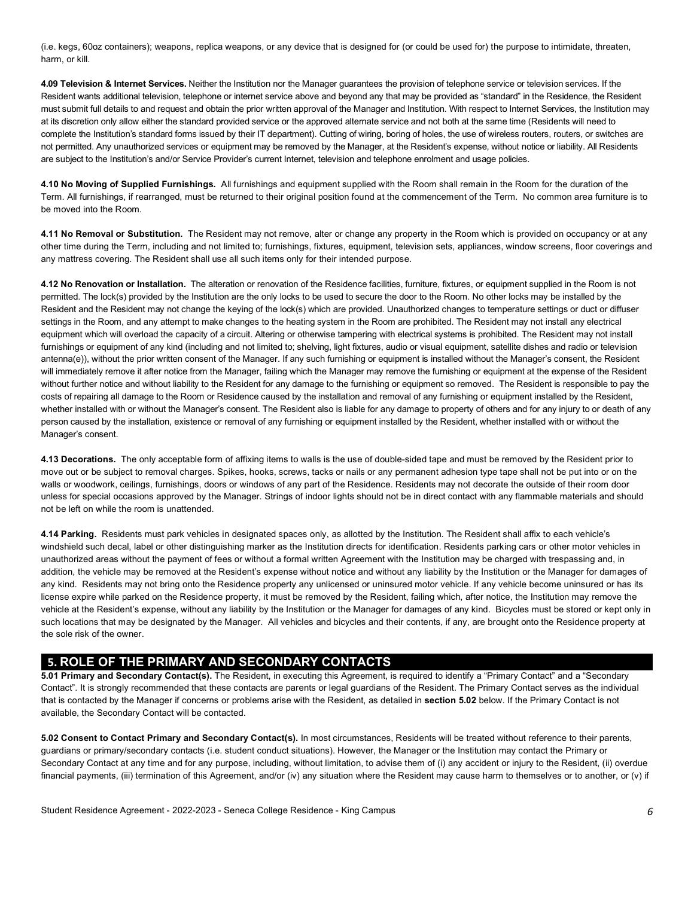(i.e. kegs, 60oz containers); weapons, replica weapons, or any device that is designed for (or could be used for) the purpose to intimidate, threaten, harm, or kill.

 **4.09 Television & Internet Services.** Neither the Institution nor the Manager guarantees the provision of telephone service or television services. If the Resident wants additional television, telephone or internet service above and beyond any that may be provided as "standard" in the Residence, the Resident must submit full details to and request and obtain the prior written approval of the Manager and Institution. With respect to Internet Services, the Institution may at its discretion only allow either the standard provided service or the approved alternate service and not both at the same time (Residents will need to complete the Institution's standard forms issued by their IT department). Cutting of wiring, boring of holes, the use of wireless routers, routers, or switches are not permitted. Any unauthorized services or equipment may be removed by the Manager, at the Resident's expense, without notice or liability. All Residents are subject to the Institution's and/or Service Provider's current Internet, television and telephone enrolment and usage policies.

 **4.10 No Moving of Supplied Furnishings.** All furnishings and equipment supplied with the Room shall remain in the Room for the duration of the Term. All furnishings, if rearranged, must be returned to their original position found at the commencement of the Term. No common area furniture is to be moved into the Room.

 **4.11 No Removal or Substitution.** The Resident may not remove, alter or change any property in the Room which is provided on occupancy or at any other time during the Term, including and not limited to; furnishings, fixtures, equipment, television sets, appliances, window screens, floor coverings and any mattress covering. The Resident shall use all such items only for their intended purpose.

 **4.12 No Renovation or Installation.** The alteration or renovation of the Residence facilities, furniture, fixtures, or equipment supplied in the Room is not permitted. The lock(s) provided by the Institution are the only locks to be used to secure the door to the Room. No other locks may be installed by the Resident and the Resident may not change the keying of the lock(s) which are provided. Unauthorized changes to temperature settings or duct or diffuser settings in the Room, and any attempt to make changes to the heating system in the Room are prohibited. The Resident may not install any electrical equipment which will overload the capacity of a circuit. Altering or otherwise tampering with electrical systems is prohibited. The Resident may not install antenna(e)), without the prior written consent of the Manager. If any such furnishing or equipment is installed without the Manager's consent, the Resident will immediately remove it after notice from the Manager, failing which the Manager may remove the furnishing or equipment at the expense of the Resident without further notice and without liability to the Resident for any damage to the furnishing or equipment so removed. The Resident is responsible to pay the costs of repairing all damage to the Room or Residence caused by the installation and removal of any furnishing or equipment installed by the Resident, whether installed with or without the Manager's consent. The Resident also is liable for any damage to property of others and for any injury to or death of any person caused by the installation, existence or removal of any furnishing or equipment installed by the Resident, whether installed with or without the furnishings or equipment of any kind (including and not limited to; shelving, light fixtures, audio or visual equipment, satellite dishes and radio or television Manager's consent.

 **4.13 Decorations.** The only acceptable form of affixing items to walls is the use of double-sided tape and must be removed by the Resident prior to move out or be subject to removal charges. Spikes, hooks, screws, tacks or nails or any permanent adhesion type tape shall not be put into or on the walls or woodwork, ceilings, furnishings, doors or windows of any part of the Residence. Residents may not decorate the outside of their room door unless for special occasions approved by the Manager. Strings of indoor lights should not be in direct contact with any flammable materials and should not be left on while the room is unattended.

 **4.14 Parking.** Residents must park vehicles in designated spaces only, as allotted by the Institution. The Resident shall affix to each vehicle's windshield such decal, label or other distinguishing marker as the Institution directs for identification. Residents parking cars or other motor vehicles in unauthorized areas without the payment of fees or without a formal written Agreement with the Institution may be charged with trespassing and, in addition, the vehicle may be removed at the Resident's expense without notice and without any liability by the Institution or the Manager for damages of any kind. Residents may not bring onto the Residence property any unlicensed or uninsured motor vehicle. If any vehicle become uninsured or has its license expire while parked on the Residence property, it must be removed by the Resident, failing which, after notice, the Institution may remove the vehicle at the Resident's expense, without any liability by the Institution or the Manager for damages of any kind. Bicycles must be stored or kept only in such locations that may be designated by the Manager. All vehicles and bicycles and their contents, if any, are brought onto the Residence property at the sole risk of the owner.

### **5. ROLE OF THE PRIMARY AND SECONDARY CONTACTS**

 **5.01 Primary and Secondary Contact(s).** The Resident, in executing this Agreement, is required to identify a "Primary Contact" and a "Secondary Contact". It is strongly recommended that these contacts are parents or legal guardians of the Resident. The Primary Contact serves as the individual that is contacted by the Manager if concerns or problems arise with the Resident, as detailed in **section 5.02** below. If the Primary Contact is not available, the Secondary Contact will be contacted.

 **5.02 Consent to Contact Primary and Secondary Contact(s).** In most circumstances, Residents will be treated without reference to their parents, guardians or primary/secondary contacts (i.e. student conduct situations). However, the Manager or the Institution may contact the Primary or Secondary Contact at any time and for any purpose, including, without limitation, to advise them of (i) any accident or injury to the Resident, (ii) overdue financial payments, (iii) termination of this Agreement, and/or (iv) any situation where the Resident may cause harm to themselves or to another, or (v) if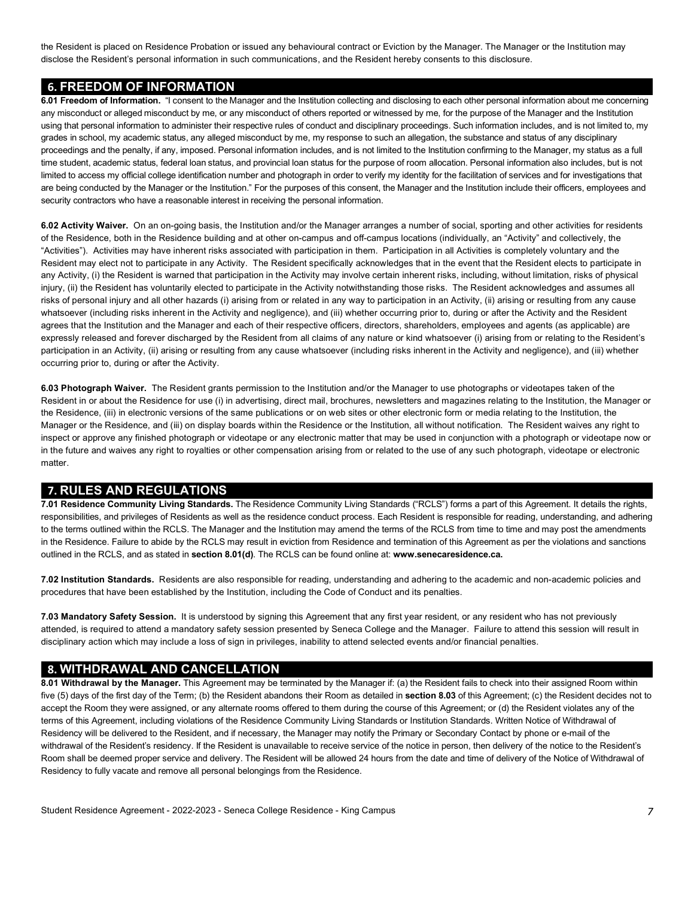the Resident is placed on Residence Probation or issued any behavioural contract or Eviction by the Manager. The Manager or the Institution may disclose the Resident's personal information in such communications, and the Resident hereby consents to this disclosure.

#### **6. FREEDOM OF INFORMATION**

 **6.01 Freedom of Information.** "I consent to the Manager and the Institution collecting and disclosing to each other personal information about me concerning any misconduct or alleged misconduct by me, or any misconduct of others reported or witnessed by me, for the purpose of the Manager and the Institution using that personal information to administer their respective rules of conduct and disciplinary proceedings. Such information includes, and is not limited to, my grades in school, my academic status, any alleged misconduct by me, my response to such an allegation, the substance and status of any disciplinary proceedings and the penalty, if any, imposed. Personal information includes, and is not limited to the Institution confirming to the Manager, my status as a full time student, academic status, federal loan status, and provincial loan status for the purpose of room allocation. Personal information also includes, but is not limited to access my official college identification number and photograph in order to verify my identity for the facilitation of services and for investigations that are being conducted by the Manager or the Institution." For the purposes of this consent, the Manager and the Institution include their officers, employees and security contractors who have a reasonable interest in receiving the personal information.

 **6.02 Activity Waiver.** On an on-going basis, the Institution and/or the Manager arranges a number of social, sporting and other activities for residents of the Residence, both in the Residence building and at other on-campus and off-campus locations (individually, an "Activity" and collectively, the "Activities"). Activities may have inherent risks associated with participation in them. Participation in all Activities is completely voluntary and the Resident may elect not to participate in any Activity. The Resident specifically acknowledges that in the event that the Resident elects to participate in any Activity, (i) the Resident is warned that participation in the Activity may involve certain inherent risks, including, without limitation, risks of physical injury, (ii) the Resident has voluntarily elected to participate in the Activity notwithstanding those risks. The Resident acknowledges and assumes all risks of personal injury and all other hazards (i) arising from or related in any way to participation in an Activity, (ii) arising or resulting from any cause whatsoever (including risks inherent in the Activity and negligence), and (iii) whether occurring prior to, during or after the Activity and the Resident agrees that the Institution and the Manager and each of their respective officers, directors, shareholders, employees and agents (as applicable) are expressly released and forever discharged by the Resident from all claims of any nature or kind whatsoever (i) arising from or relating to the Resident's participation in an Activity, (ii) arising or resulting from any cause whatsoever (including risks inherent in the Activity and negligence), and (iii) whether occurring prior to, during or after the Activity.

 **6.03 Photograph Waiver.** The Resident grants permission to the Institution and/or the Manager to use photographs or videotapes taken of the Resident in or about the Residence for use (i) in advertising, direct mail, brochures, newsletters and magazines relating to the Institution, the Manager or the Residence, (iii) in electronic versions of the same publications or on web sites or other electronic form or media relating to the Institution, the Manager or the Residence, and (iii) on display boards within the Residence or the Institution, all without notification. The Resident waives any right to inspect or approve any finished photograph or videotape or any electronic matter that may be used in conjunction with a photograph or videotape now or in the future and waives any right to royalties or other compensation arising from or related to the use of any such photograph, videotape or electronic matter.

#### **7. RULES AND REGULATIONS**

 responsibilities, and privileges of Residents as well as the residence conduct process. Each Resident is responsible for reading, understanding, and adhering to the terms outlined within the RCLS. The Manager and the Institution may amend the terms of the RCLS from time to time and may post the amendments in the Residence. Failure to abide by the RCLS may result in eviction from Residence and termination of this Agreement as per the violations and sanctions outlined in the RCLS, and as stated in **section 8.01(d)**. The RCLS can be found online at: **[www.senecaresidence.ca.](www.senecaresidence.ca) 7.01 Residence Community Living Standards.** The Residence Community Living Standards ("RCLS") forms a part of this Agreement. It details the rights,

 **7.02 Institution Standards.** Residents are also responsible for reading, understanding and adhering to the academic and non-academic policies and procedures that have been established by the Institution, including the Code of Conduct and its penalties.

 **7.03 Mandatory Safety Session.** It is understood by signing this Agreement that any first year resident, or any resident who has not previously attended, is required to attend a mandatory safety session presented by Seneca College and the Manager. Failure to attend this session will result in disciplinary action which may include a loss of sign in privileges, inability to attend selected events and/or financial penalties.

#### **8. WITHDRAWAL AND CANCELLATION**

 **8.01 Withdrawal by the Manager.** This Agreement may be terminated by the Manager if: (a) the Resident fails to check into their assigned Room within five (5) days of the first day of the Term; (b) the Resident abandons their Room as detailed in **section 8.03** of this Agreement; (c) the Resident decides not to accept the Room they were assigned, or any alternate rooms offered to them during the course of this Agreement; or (d) the Resident violates any of the terms of this Agreement, including violations of the Residence Community Living Standards or Institution Standards. Written Notice of Withdrawal of Residency will be delivered to the Resident, and if necessary, the Manager may notify the Primary or Secondary Contact by phone or e-mail of the withdrawal of the Resident's residency. If the Resident is unavailable to receive service of the notice in person, then delivery of the notice to the Resident's Room shall be deemed proper service and delivery. The Resident will be allowed 24 hours from the date and time of delivery of the Notice of Withdrawal of Residency to fully vacate and remove all personal belongings from the Residence.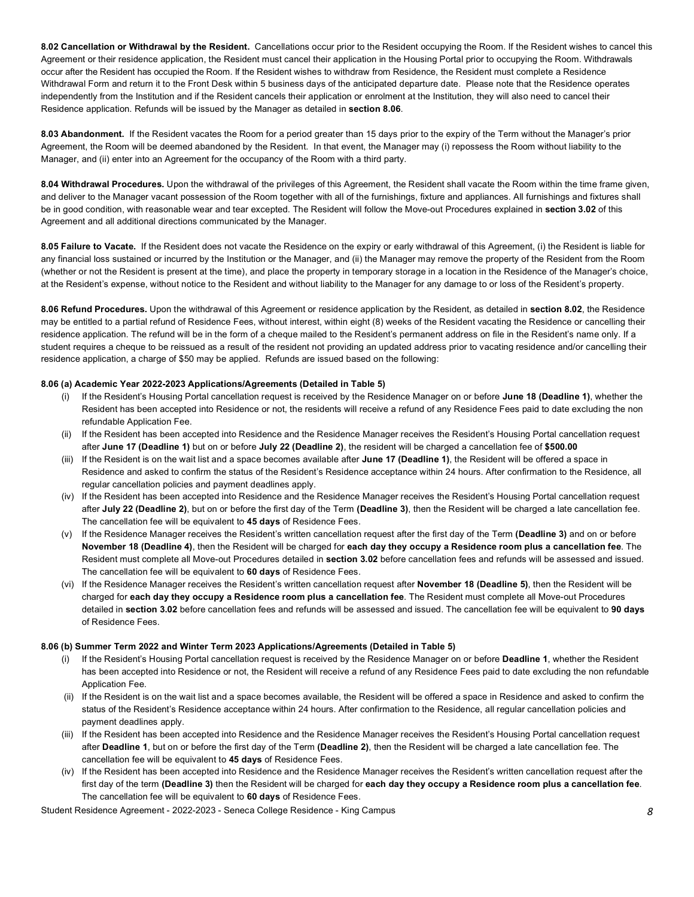**8.02 Cancellation or Withdrawal by the Resident.** Cancellations occur prior to the Resident occupying the Room. If the Resident wishes to cancel this Agreement or their residence application, the Resident must cancel their application in the Housing Portal prior to occupying the Room. Withdrawals occur after the Resident has occupied the Room. If the Resident wishes to withdraw from Residence, the Resident must complete a Residence Withdrawal Form and return it to the Front Desk within 5 business days of the anticipated departure date. Please note that the Residence operates independently from the Institution and if the Resident cancels their application or enrolment at the Institution, they will also need to cancel their Residence application. Refunds will be issued by the Manager as detailed in **section 8.06**.

 **8.03 Abandonment.** If the Resident vacates the Room for a period greater than 15 days prior to the expiry of the Term without the Manager's prior Agreement, the Room will be deemed abandoned by the Resident. In that event, the Manager may (i) repossess the Room without liability to the Manager, and (ii) enter into an Agreement for the occupancy of the Room with a third party.

 **8.04 Withdrawal Procedures.** Upon the withdrawal of the privileges of this Agreement, the Resident shall vacate the Room within the time frame given, and deliver to the Manager vacant possession of the Room together with all of the furnishings, fixture and appliances. All furnishings and fixtures shall be in good condition, with reasonable wear and tear excepted. The Resident will follow the Move-out Procedures explained in **section 3.02** of this Agreement and all additional directions communicated by the Manager.

 **8.05 Failure to Vacate.** If the Resident does not vacate the Residence on the expiry or early withdrawal of this Agreement, (i) the Resident is liable for any financial loss sustained or incurred by the Institution or the Manager, and (ii) the Manager may remove the property of the Resident from the Room (whether or not the Resident is present at the time), and place the property in temporary storage in a location in the Residence of the Manager's choice, at the Resident's expense, without notice to the Resident and without liability to the Manager for any damage to or loss of the Resident's property.

 **8.06 Refund Procedures.** Upon the withdrawal of this Agreement or residence application by the Resident, as detailed in **section 8.02**, the Residence may be entitled to a partial refund of Residence Fees, without interest, within eight (8) weeks of the Resident vacating the Residence or cancelling their residence application. The refund will be in the form of a cheque mailed to the Resident's permanent address on file in the Resident's name only. If a student requires a cheque to be reissued as a result of the resident not providing an updated address prior to vacating residence and/or cancelling their residence application, a charge of \$50 may be applied. Refunds are issued based on the following:

#### **8.06 (a) Academic Year 2022-2023 Applications/Agreements (Detailed in Table 5)**

- (i) If the Resident's Housing Portal cancellation request is received by the Residence Manager on or before **June 18 (Deadline 1)**, whether the Resident has been accepted into Residence or not, the residents will receive a refund of any Residence Fees paid to date excluding the non refundable Application Fee.
- after **June 17 (Deadline 1)** but on or before **July 22 (Deadline 2)**, the resident will be charged a cancellation fee of **\$500.00**  (ii) If the Resident has been accepted into Residence and the Residence Manager receives the Resident's Housing Portal cancellation request
- (iii) If the Resident is on the wait list and a space becomes available after **June 17 (Deadline 1)**, the Resident will be offered a space in Residence and asked to confirm the status of the Resident's Residence acceptance within 24 hours. After confirmation to the Residence, all regular cancellation policies and payment deadlines apply.
- (iv) If the Resident has been accepted into Residence and the Residence Manager receives the Resident's Housing Portal cancellation request after **July 22 (Deadline 2)**, but on or before the first day of the Term **(Deadline 3)**, then the Resident will be charged a late cancellation fee. The cancellation fee will be equivalent to **45 days** of Residence Fees.
- (v) If the Residence Manager receives the Resident's written cancellation request after the first day of the Term **(Deadline 3)** and on or before  **November 18 (Deadline 4)**, then the Resident will be charged for **each day they occupy a Residence room plus a cancellation fee**. The Resident must complete all Move-out Procedures detailed in **section 3.02** before cancellation fees and refunds will be assessed and issued. The cancellation fee will be equivalent to **60 days** of Residence Fees.
- (vi) If the Residence Manager receives the Resident's written cancellation request after **November 18 (Deadline 5)**, then the Resident will be charged for **each day they occupy a Residence room plus a cancellation fee**. The Resident must complete all Move-out Procedures detailed in **section 3.02** before cancellation fees and refunds will be assessed and issued. The cancellation fee will be equivalent to **90 days**  of Residence Fees.

#### **8.06 (b) Summer Term 2022 and Winter Term 2023 Applications/Agreements (Detailed in Table 5)**

- (i) If the Resident's Housing Portal cancellation request is received by the Residence Manager on or before **Deadline 1**, whether the Resident has been accepted into Residence or not, the Resident will receive a refund of any Residence Fees paid to date excluding the non refundable Application Fee.
- (ii) If the Resident is on the wait list and a space becomes available, the Resident will be offered a space in Residence and asked to confirm the status of the Resident's Residence acceptance within 24 hours. After confirmation to the Residence, all regular cancellation policies and payment deadlines apply.
- (iii) If the Resident has been accepted into Residence and the Residence Manager receives the Resident's Housing Portal cancellation request after **Deadline 1**, but on or before the first day of the Term **(Deadline 2)**, then the Resident will be charged a late cancellation fee. The cancellation fee will be equivalent to **45 days** of Residence Fees.
- (iv) If the Resident has been accepted into Residence and the Residence Manager receives the Resident's written cancellation request after the The cancellation fee will be equivalent to **60 days** of Residence Fees. first day of the term **(Deadline 3)** then the Resident will be charged for **each day they occupy a Residence room plus a cancellation fee**.